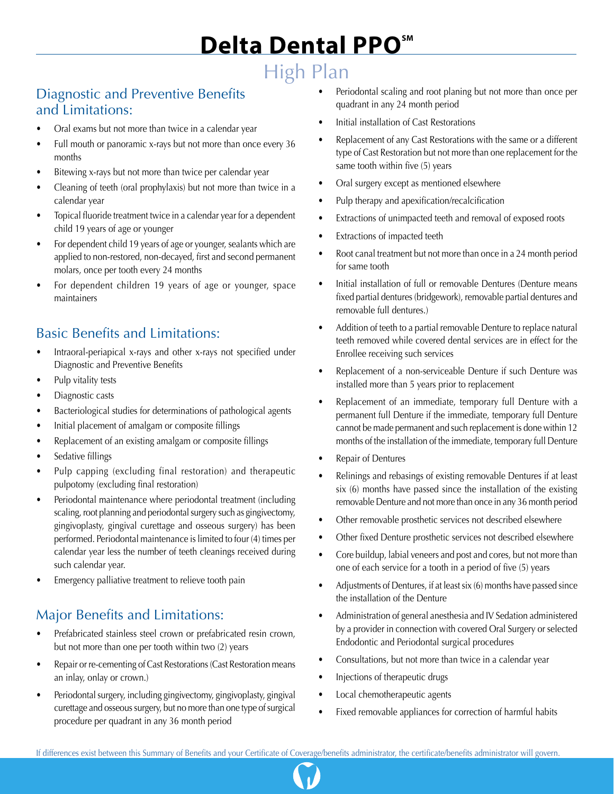# **Delta Dental PPO**<sup>5M</sup>

# High Plan

### Diagnostic and Preventive Benefits and Limitations:

- Oral exams but not more than twice in a calendar year
- Full mouth or panoramic x-rays but not more than once every 36 months
- Bitewing x-rays but not more than twice per calendar year
- Cleaning of teeth (oral prophylaxis) but not more than twice in a calendar year
- Topical fluoride treatment twice in a calendar year for a dependent child 19 years of age or younger
- For dependent child 19 years of age or younger, sealants which are applied to non-restored, non-decayed, first and second permanent molars, once per tooth every 24 months
- For dependent children 19 years of age or younger, space maintainers

### Basic Benefits and Limitations:

- Intraoral-periapical x-rays and other x-rays not specified under Diagnostic and Preventive Benefits
- Pulp vitality tests
- Diagnostic casts
- Bacteriological studies for determinations of pathological agents
- Initial placement of amalgam or composite fillings
- Replacement of an existing amalgam or composite fillings
- Sedative fillings
- Pulp capping (excluding final restoration) and therapeutic pulpotomy (excluding final restoration)
- Periodontal maintenance where periodontal treatment (including scaling, root planning and periodontal surgery such as gingivectomy, gingivoplasty, gingival curettage and osseous surgery) has been performed. Periodontal maintenance is limited to four (4) times per calendar year less the number of teeth cleanings received during such calendar year.
- Emergency palliative treatment to relieve tooth pain

## Major Benefits and Limitations:

- Prefabricated stainless steel crown or prefabricated resin crown, but not more than one per tooth within two (2) years
- Repair or re-cementing of Cast Restorations (Cast Restoration means an inlay, onlay or crown.)
- Periodontal surgery, including gingivectomy, gingivoplasty, gingival curettage and osseous surgery, but no more than one type of surgical procedure per quadrant in any 36 month period
- Periodontal scaling and root planing but not more than once per quadrant in any 24 month period
- Initial installation of Cast Restorations
- Replacement of any Cast Restorations with the same or a different type of Cast Restoration but not more than one replacement for the same tooth within five (5) years
- Oral surgery except as mentioned elsewhere
- Pulp therapy and apexification/recalcification
- Extractions of unimpacted teeth and removal of exposed roots
- Extractions of impacted teeth
- Root canal treatment but not more than once in a 24 month period for same tooth
- Initial installation of full or removable Dentures (Denture means fixed partial dentures (bridgework), removable partial dentures and removable full dentures.)
- Addition of teeth to a partial removable Denture to replace natural teeth removed while covered dental services are in effect for the Enrollee receiving such services
- Replacement of a non-serviceable Denture if such Denture was installed more than 5 years prior to replacement
- Replacement of an immediate, temporary full Denture with a permanent full Denture if the immediate, temporary full Denture cannot be made permanent and such replacement is done within 12 months of the installation of the immediate, temporary full Denture
- Repair of Dentures
- Relinings and rebasings of existing removable Dentures if at least six (6) months have passed since the installation of the existing removable Denture and not more than once in any 36 month period
- Other removable prosthetic services not described elsewhere
- Other fixed Denture prosthetic services not described elsewhere
- Core buildup, labial veneers and post and cores, but not more than one of each service for a tooth in a period of five (5) years
- Adjustments of Dentures, if at least six (6) months have passed since the installation of the Denture
- Administration of general anesthesia and IV Sedation administered by a provider in connection with covered Oral Surgery or selected Endodontic and Periodontal surgical procedures
- Consultations, but not more than twice in a calendar year
- Injections of therapeutic drugs
- Local chemotherapeutic agents
- Fixed removable appliances for correction of harmful habits